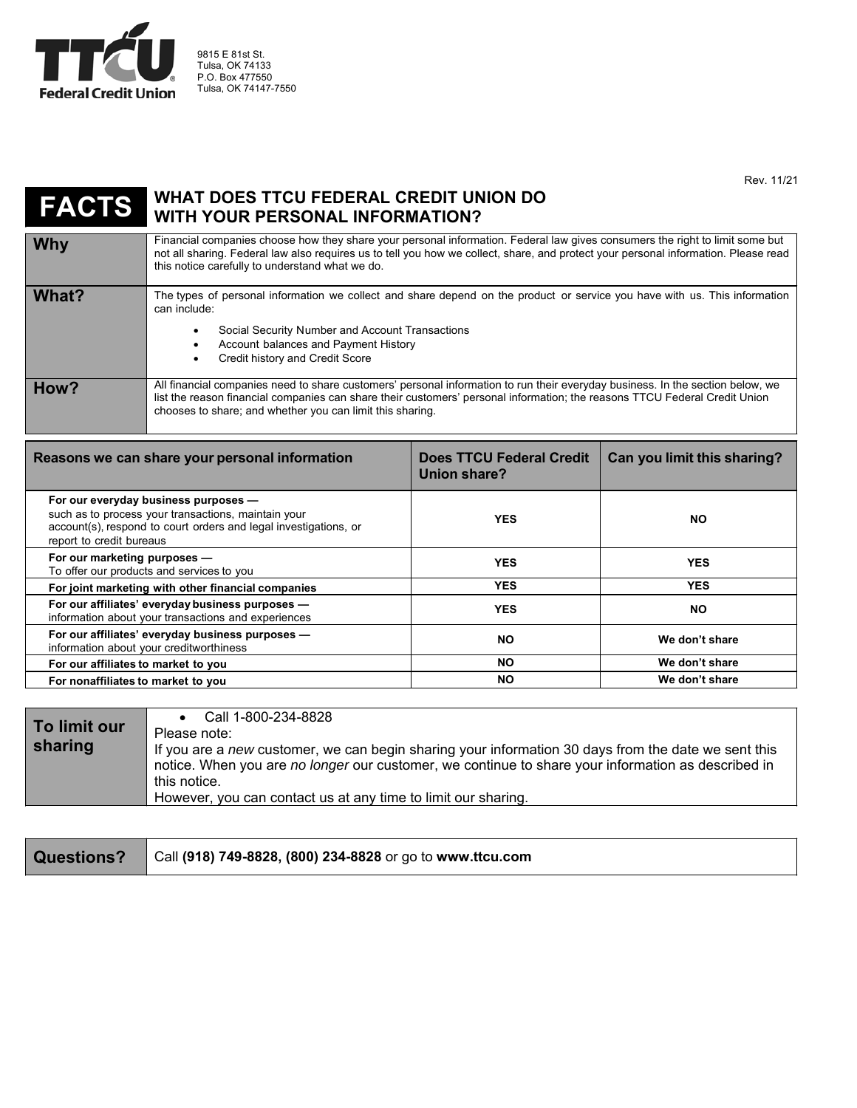

9815 E 81st St. Tulsa, OK 74133 P.O. Box 477550 Tulsa, OK 74147-7550

Rev. 11/21

## **FACTS WHAT DOES TTCU FEDERAL CREDIT UNION DO WITH YOUR PERSONAL INFORMATION?**

**Why Financial companies choose how they share your personal information. Federal law gives consumers the right to limit some but the right of limit some but to limit some but to limit some but to limit and the right of** not all sharing. Federal law also requires us to tell you how we collect, share, and protect your personal information. Please read this notice carefully to understand what we do. What? The types of personal information we collect and share depend on the product or service you have with us. This information can include: Social Security Number and Account Transactions Account balances and Payment History Credit history and Credit Score **How?** All financial companies need to share customers' personal information to run their everyday business. In the section below, we list the reason financial companies can share their customers' personal information; the reasons TTCU Federal Credit Union chooses to share; and whether you can limit this sharing.

| Reasons we can share your personal information                                                                                                                                              | <b>Does TTCU Federal Credit</b><br>Union share? | Can you limit this sharing? |
|---------------------------------------------------------------------------------------------------------------------------------------------------------------------------------------------|-------------------------------------------------|-----------------------------|
| For our everyday business purposes -<br>such as to process your transactions, maintain your<br>account(s), respond to court orders and legal investigations, or<br>report to credit bureaus | <b>YES</b>                                      | NO.                         |
| For our marketing purposes -<br>To offer our products and services to you                                                                                                                   | <b>YES</b>                                      | <b>YES</b>                  |
| For joint marketing with other financial companies                                                                                                                                          | <b>YES</b>                                      | <b>YES</b>                  |
| For our affiliates' everyday business purposes -<br>information about your transactions and experiences                                                                                     | <b>YES</b>                                      | NO.                         |
| For our affiliates' everyday business purposes -<br>information about your creditworthiness                                                                                                 | <b>NO</b>                                       | We don't share              |
| For our affiliates to market to you                                                                                                                                                         | <b>NO</b>                                       | We don't share              |
| For nonaffiliates to market to you                                                                                                                                                          | <b>NO</b>                                       | We don't share              |

| To limit our | Call 1-800-234-8828                                                                                 |
|--------------|-----------------------------------------------------------------------------------------------------|
|              | Please note:                                                                                        |
| sharing      | If you are a new customer, we can begin sharing your information 30 days from the date we sent this |
|              | notice. When you are no longer our customer, we continue to share your information as described in  |
|              | this notice.                                                                                        |
|              | However, you can contact us at any time to limit our sharing.                                       |

| Questions?   Call (918) 749-8828, (800) 234-8828 or go to www.ttcu.com |  |
|------------------------------------------------------------------------|--|
|------------------------------------------------------------------------|--|